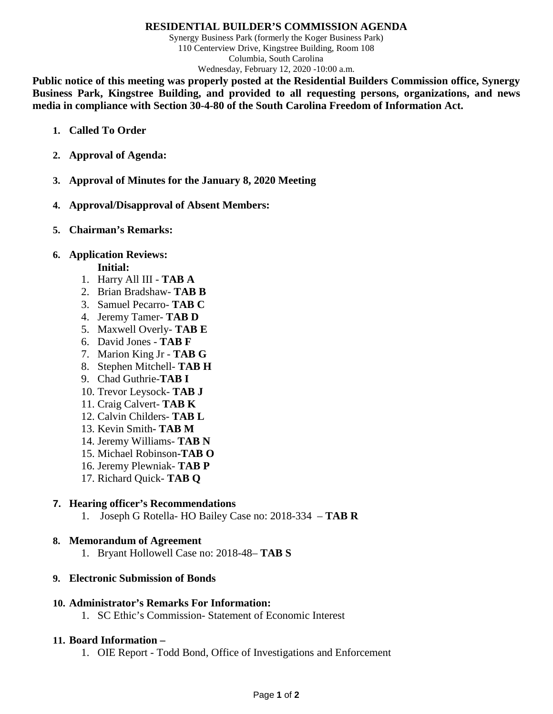#### **RESIDENTIAL BUILDER'S COMMISSION AGENDA**

Synergy Business Park (formerly the Koger Business Park) 110 Centerview Drive, Kingstree Building, Room 108 Columbia, South Carolina Wednesday, February 12, 2020 -10:00 a.m.

**Public notice of this meeting was properly posted at the Residential Builders Commission office, Synergy Business Park, Kingstree Building, and provided to all requesting persons, organizations, and news media in compliance with Section 30-4-80 of the South Carolina Freedom of Information Act.**

- **1. Called To Order**
- **2. Approval of Agenda:**
- **3. Approval of Minutes for the January 8, 2020 Meeting**
- **4. Approval/Disapproval of Absent Members:**
- **5. Chairman's Remarks:**

### **6. Application Reviews:**

- **Initial:**
- 1. Harry All III **TAB A**
- 2. Brian Bradshaw- **TAB B**
- 3. Samuel Pecarro- **TAB C**
- 4. Jeremy Tamer- **TAB D**
- 5. Maxwell Overly- **TAB E**
- 6. David Jones **TAB F**
- 7. Marion King Jr **TAB G**
- 8. Stephen Mitchell- **TAB H**
- 9. Chad Guthrie-**TAB I**
- 10. Trevor Leysock- **TAB J**
- 11. Craig Calvert- **TAB K**
- 12. Calvin Childers- **TAB L**
- 13. Kevin Smith**- TAB M**
- 14. Jeremy Williams- **TAB N**
- 15. Michael Robinson**-TAB O**
- 16. Jeremy Plewniak- **TAB P**
- 17. Richard Quick- **TAB Q**

## **7. Hearing officer's Recommendations**

1. Joseph G Rotella- HO Bailey Case no: 2018-334 – **TAB R**

## **8. Memorandum of Agreement**

1. Bryant Hollowell Case no: 2018-48– **TAB S**

#### **9. Electronic Submission of Bonds**

#### **10. Administrator's Remarks For Information:**

1. SC Ethic's Commission- Statement of Economic Interest

#### **11. Board Information –**

1. OIE Report - Todd Bond, Office of Investigations and Enforcement